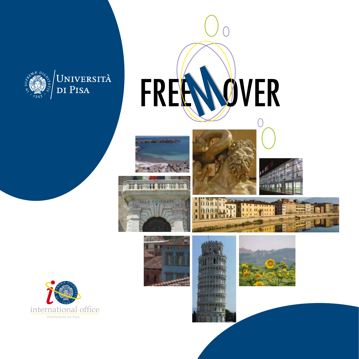